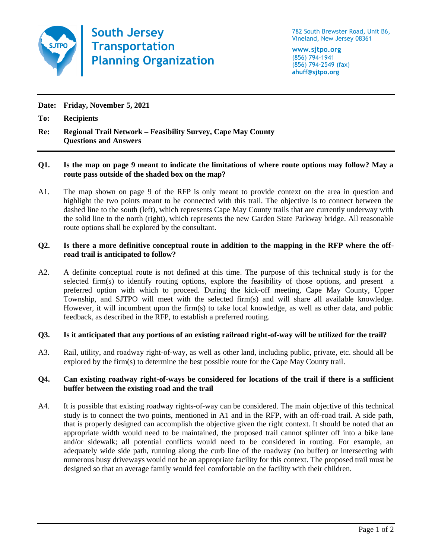

**South Jersey Transportation Planning Organization**

782 South Brewster Road, Unit B6, Vineland, New Jersey 08361

**www.sjtpo.org** (856) 794-1941 (856) 794-2549 (fax) **ahuff@sjtpo.org**

**Date: Friday, November 5, 2021**

**To: Recipients**

**Re: Regional Trail Network – Feasibility Survey, Cape May County Questions and Answers**

## **Q1. Is the map on page 9 meant to indicate the limitations of where route options may follow? May a route pass outside of the shaded box on the map?**

A1. The map shown on page 9 of the RFP is only meant to provide context on the area in question and highlight the two points meant to be connected with this trail. The objective is to connect between the dashed line to the south (left), which represents Cape May County trails that are currently underway with the solid line to the north (right), which represents the new Garden State Parkway bridge. All reasonable route options shall be explored by the consultant.

## **Q2. Is there a more definitive conceptual route in addition to the mapping in the RFP where the offroad trail is anticipated to follow?**

A2. A definite conceptual route is not defined at this time. The purpose of this technical study is for the selected firm(s) to identify routing options, explore the feasibility of those options, and present a preferred option with which to proceed. During the kick-off meeting, Cape May County, Upper Township, and SJTPO will meet with the selected firm(s) and will share all available knowledge. However, it will incumbent upon the firm(s) to take local knowledge, as well as other data, and public feedback, as described in the RFP, to establish a preferred routing.

## **Q3. Is it anticipated that any portions of an existing railroad right-of-way will be utilized for the trail?**

A3. Rail, utility, and roadway right-of-way, as well as other land, including public, private, etc. should all be explored by the firm(s) to determine the best possible route for the Cape May County trail.

## **Q4. Can existing roadway right-of-ways be considered for locations of the trail if there is a sufficient buffer between the existing road and the trail**

A4. It is possible that existing roadway rights-of-way can be considered. The main objective of this technical study is to connect the two points, mentioned in A1 and in the RFP, with an off-road trail. A side path, that is properly designed can accomplish the objective given the right context. It should be noted that an appropriate width would need to be maintained, the proposed trail cannot splinter off into a bike lane and/or sidewalk; all potential conflicts would need to be considered in routing. For example, an adequately wide side path, running along the curb line of the roadway (no buffer) or intersecting with numerous busy driveways would not be an appropriate facility for this context. The proposed trail must be designed so that an average family would feel comfortable on the facility with their children.